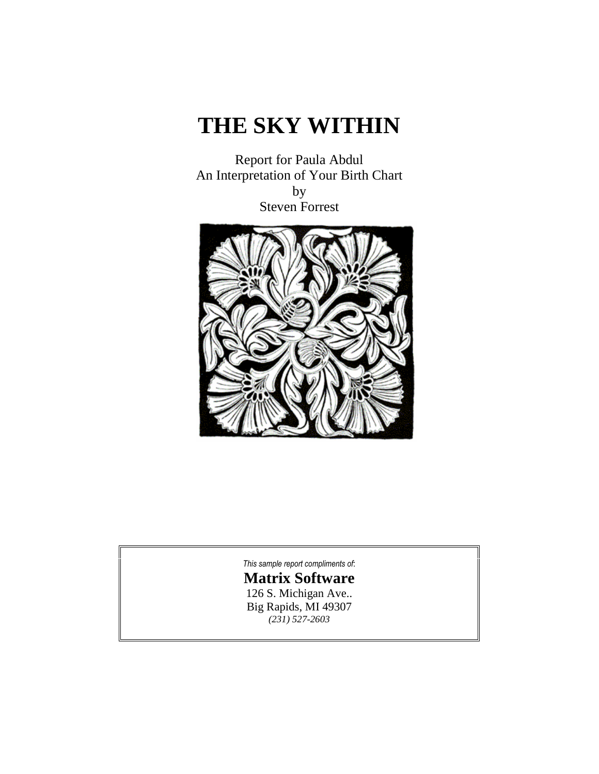# **THE SKY WITHIN**

Report for Paula Abdul An Interpretation of Your Birth Chart by Steven Forrest



*This sample report [compliments](http://www.astrologysoftware.com/software/rws/sky/pro_sky.asp?orig=) of*:

**Matrix [Software](http://www.astrologysoftware.com/software/rws/sky/pro_sky.asp?orig=)**

126 S. [Michigan](http://www.astrologysoftware.com/software/rws/sky/pro_sky.asp?orig=) Ave.. Big [Rapids,](http://www.astrologysoftware.com/software/rws/sky/pro_sky.asp?orig=) MI 49307 *(231) [527-2603](http://www.astrologysoftware.com/software/rws/sky/pro_sky.asp?orig=)*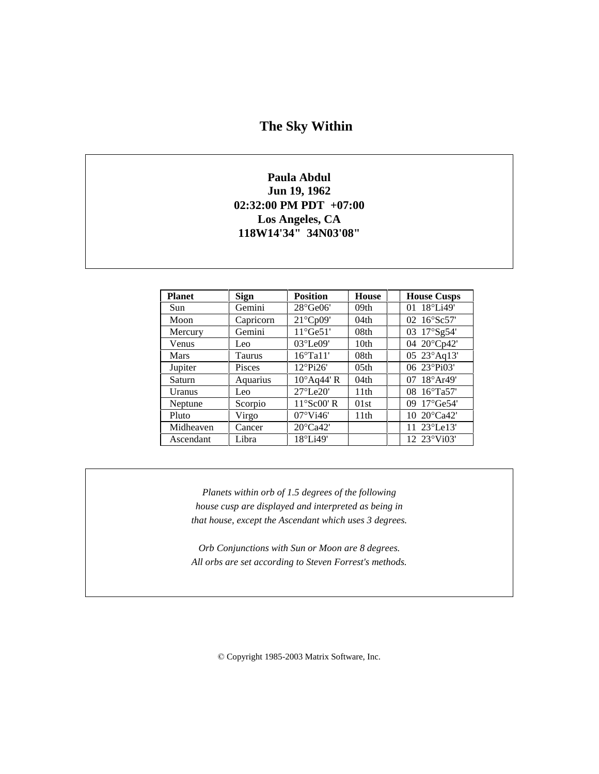# **The Sky Within**

# **Paula Abdul Jun 19, 1962 02:32:00 PM PDT +07:00 Los Angeles, CA 118W14'34" 34N03'08"**

| <b>Planet</b> | <b>Sign</b> | <b>Position</b>       | House             | <b>House Cusps</b>                    |
|---------------|-------------|-----------------------|-------------------|---------------------------------------|
| Sun           | Gemini      | $28^{\circ}$ Ge06'    | 09 <sub>th</sub>  | 01 18°Li49'                           |
| Moon          | Capricorn   | $21^{\circ}$ Cp09'    | 04th              | 02 16°Sc57'                           |
| Mercury       | Gemini      | $11^{\circ}$ Ge51'    | 08 <sub>th</sub>  | 03 17°Sg54'                           |
| Venus         | Leo         | $03^{\circ}$ Le $09'$ | 10 <sub>th</sub>  | 04 20°Cp42'                           |
| Mars          | Taurus      | $16^{\circ}$ Ta $11'$ | 08 <sub>th</sub>  | 05 23°Aq13'                           |
| Jupiter       | Pisces      | $12^{\circ}$ Pi $26'$ | 0.5 <sub>th</sub> | 06 23°Pi03'                           |
| Saturn        | Aquarius    | $10^{\circ}$ Aq44' R  | 04th              | $07 \text{ } 18^{\circ} \text{Ar}49'$ |
| <b>Uranus</b> | Leo         | $27^{\circ}$ Le $20'$ | 11 <sub>th</sub>  | 08 16°Ta57'                           |
| Neptune       | Scorpio     | $11^{\circ}$ Sc00' R  | 01st              | $09\;17^{\circ}\text{Ge}54'$          |
| Pluto         | Virgo       | $07^{\circ}$ Vi46'    | 11th              | 10 20°Ca42'                           |
| Midheaven     | Cancer      | $20^{\circ}$ Ca42'    |                   | 11 23°Le13'                           |
| Ascendant     | Libra       | $18^{\circ}$ Li49'    |                   | $12.23^{\circ}$ Vi $03'$              |

*Planets within orb of 1.5 degrees of the following house cusp are displayed and interpreted as being in that house, except the Ascendant which uses 3 degrees.*

*Orb Conjunctions with Sun or Moon are 8 degrees. All orbs are set according to Steven Forrest's methods.*

© Copyright 1985-2003 Matrix Software, Inc.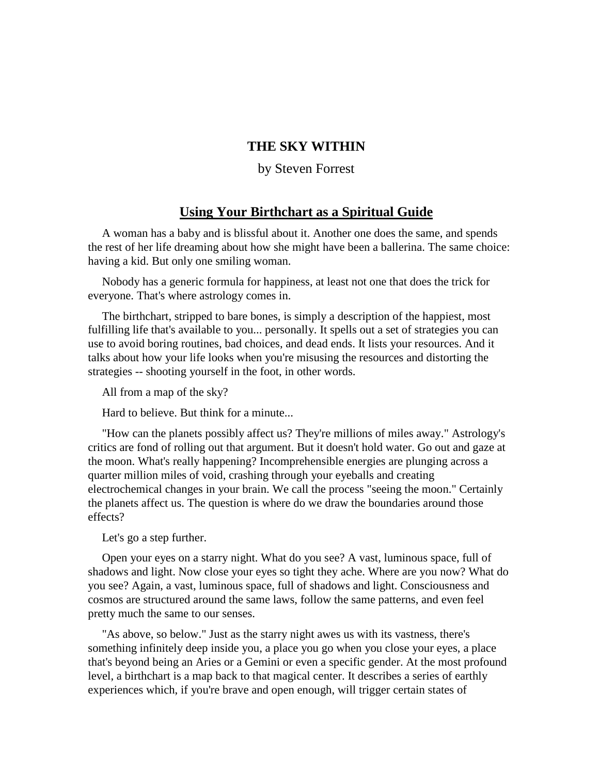# **THE SKY WITHIN**

#### by Steven Forrest

### **Using Your Birthchart as a Spiritual Guide**

A woman has a baby and is blissful about it. Another one does the same, and spends the rest of her life dreaming about how she might have been a ballerina. The same choice: having a kid. But only one smiling woman.

Nobody has a generic formula for happiness, at least not one that does the trick for everyone. That's where astrology comes in.

The birthchart, stripped to bare bones, is simply a description of the happiest, most fulfilling life that's available to you... personally. It spells out a set of strategies you can use to avoid boring routines, bad choices, and dead ends. It lists your resources. And it talks about how your life looks when you're misusing the resources and distorting the strategies -- shooting yourself in the foot, in other words.

All from a map of the sky?

Hard to believe. But think for a minute...

"How canthe planets possibly affect us? They're millions of miles away." Astrology's critics are fond of rolling out that argument. But it doesn't hold water. Go out and gaze at the moon. What's really happening? Incomprehensible energies are plunging across a quarter million miles of void, crashing through your eyeballs and creating electrochemical changes in your brain. We call the process "seeing the moon." Certainly the planets affect us. The question is where do we draw the boundaries around those effects?

Let's go a step further.

Open your eyes on a starry night. What do you see? A vast, luminous space, full of shadows and light. Now close your eyes so tight they ache. Where are you now? What do you see? Again, a vast, luminous space, full of shadows and light. Consciousness and cosmos are structured around the same laws, follow the same patterns, and even feel pretty much the same to our senses.

"As above, so below." Just as the starry night awes us with its vastness, there's something infinitely deep inside you, a place you go when you close your eyes, a place that's beyond being an Aries or a Gemini or even a specific gender. At the most profound level, a birthchart is a map back to that magical center. It describes a series of earthly experiences which, if you're brave and open enough, will trigger certain states of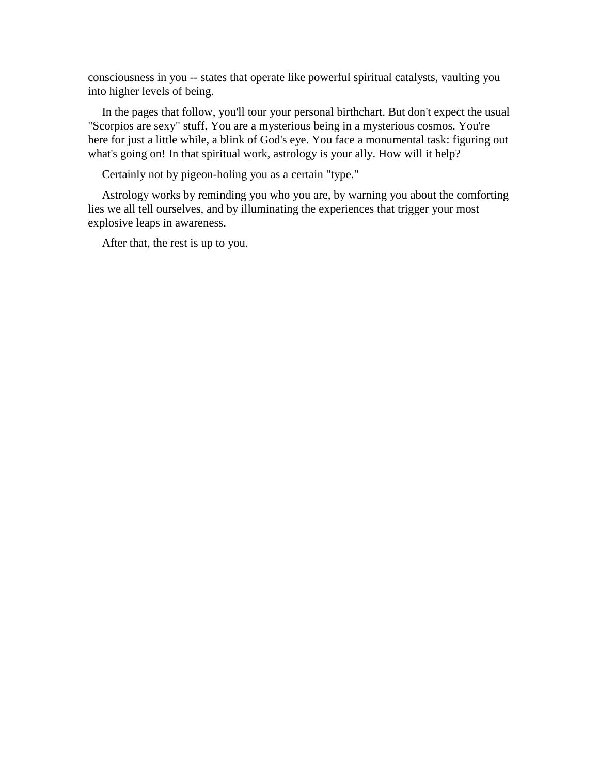consciousness in you -- states that operate like powerful spiritual catalysts, vaulting you into higher levels of being.

In the pages that follow, you'll tour your personal birthchart. But don't expect the usual "Scorpios are sexy" stuff. You are a mysterious being in a mysterious cosmos. You're here for just a little while, a blink of God's eye. You face a monumental task: figuring out what's going on! In that spiritual work, astrology is your ally. How will it help?

Certainly not by pigeon-holing you as a certain "type."

Astrology works by reminding you who you are, by warning you about the comforting lies we all tell ourselves, and by illuminating the experiences that trigger your most explosive leaps in awareness.

After that, the rest is up to you.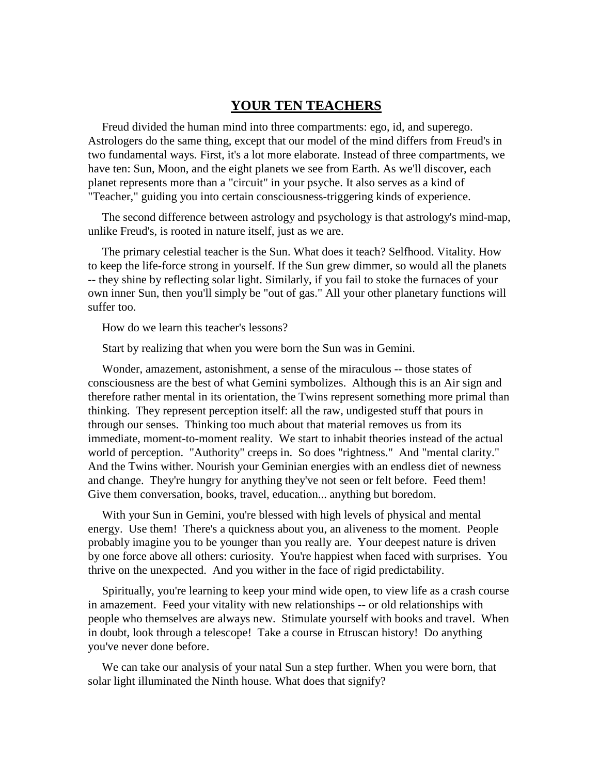#### **YOUR TEN TEACHERS**

Freud divided the human mind into three compartments: ego, id, and superego. Astrologers do the same thing, except that our model of the mind differs from Freud's in two fundamental ways. First, it's a lot more elaborate. Instead of three compartments, we have ten: Sun, Moon, and the eight planets we see from Earth. As we'll discover, each planet represents more than a "circuit" in your psyche. It also serves as a kind of "Teacher," guiding you into certain consciousness-triggering kinds of experience.

The second difference between astrology and psychology is that astrology's mind-map, unlike Freud's, is rooted in nature itself, just as we are.

The primary celestial teacher is the Sun. What does it teach? Selfhood. Vitality. How to keep the life-force strong in yourself. If the Sun grew dimmer, so would all the planets -- they shine by reflecting solar light. Similarly, if you fail to stoke the furnaces of your own inner Sun, then you'll simply be "out of gas." All your other planetary functions will suffer too.

How do we learn this teacher's lessons?

Start by realizing that when you were born the Sun was in Gemini.

Wonder, amazement, astonishment, a sense of the miraculous -- those states of consciousness are the best of what Gemini symbolizes. Although this is an Air sign and therefore rather mental in its orientation, the Twins represent something more primal than thinking. They represent perception itself: all the raw, undigested stuff that pours in through our senses. Thinking too much about that material removes us from its immediate, moment-to-moment reality. We start to inhabit theories instead of the actual world of perception. "Authority" creeps in. So does "rightness." And "mental clarity." And the Twins wither. Nourish your Geminian energies with an endless diet of newness and change. They're hungry for anything they've not seen or felt before. Feed them! Give them conversation, books, travel, education... anything but boredom.

With your Sun in Gemini, you're blessed with high levels of physical and mental energy. Use them! There's a quickness about you, an aliveness to the moment. People probably imagine you to be younger than you really are. Your deepest nature is driven by one force above all others: curiosity. You're happiest when faced with surprises. You thrive on the unexpected. And you wither in the face of rigid predictability.

Spiritually, you're learning to keep your mind wide open, to view life as a crash course in amazement. Feed your vitality with new relationships -- or old relationships with people who themselves are always new. Stimulate yourself with books and travel. When in doubt, look through a telescope! Take a course in Etruscan history! Do anything you've never done before.

We can take our analysis of your natal Sun a step further. When you were born, that solar light illuminated the Ninth house. What does that signify?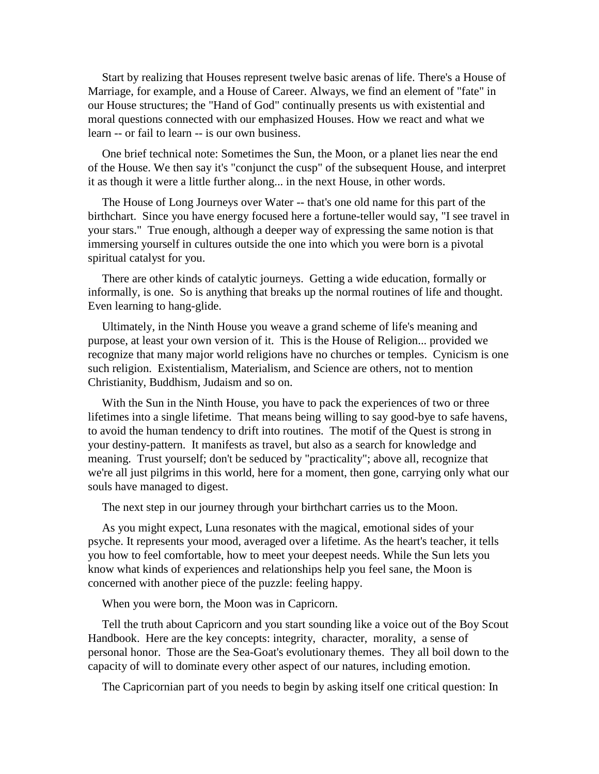Start by realizing that Houses represent twelve basic arenas of life. There's a House of Marriage, for example, and a House of Career. Always, we find an element of "fate" in our House structures; the "Hand of God" continually presents us with existential and moral questions connected with our emphasized Houses. How we react and what we learn -- or fail to learn -- is our own business.

One brief technical note: Sometimes the Sun, the Moon, or a planet lies near the end of the House. We then say it's "conjunct the cusp" of the subsequent House, and interpret it as though it were a little further along... in the next House, in other words.

The House of Long Journeys over Water -- that's one old name for this part of the birthchart. Since you have energy focused here a fortune-teller would say,"I see travel in your stars." True enough, although a deeper way of expressing the same notion is that immersing yourself in cultures outside the one into which you were born is a pivotal spiritual catalyst for you.

There are other kinds of catalytic journeys. Getting a wide education, formally or informally, is one. So is anything that breaks up the normal routines of life and thought. Even learning to hang-glide.

Ultimately, in the Ninth House you weave a grand scheme of life's meaning and purpose, at least your own version of it. This is the House of Religion... provided we recognize that many major world religions have no churches or temples. Cynicism is one such religion. Existentialism, Materialism, and Science are others, not to mention Christianity, Buddhism, Judaism and so on.

With the Sun in the Ninth House, you have to pack the experiences of two or three lifetimes into a single lifetime. That means being willing to say good-bye to safe havens, to avoid the human tendency to drift into routines. The motif of the Quest is strong in your destiny-pattern. It manifests as travel, but also as a search for knowledge and meaning. Trust yourself; don't be seduced by "practicality"; above all, recognize that we're all just pilgrims in this world, here for a moment, then gone, carrying only what our souls have managed to digest.

The next step in our journey through your birthchart carries us to the Moon.

As you might expect, Luna resonates with the magical, emotional sides of your psyche. It represents your mood, averaged over a lifetime. As the heart's teacher, it tells you how to feel comfortable, how to meet your deepest needs. While the Sun lets you know what kinds of experiences and relationships help you feel sane, the Moon is concerned with another piece of the puzzle: feeling happy.

When you were born, the Moon was in Capricorn.

Tell the truth about Capricorn and you start sounding like a voice out of the Boy Scout Handbook. Here are the key concepts: integrity, character, morality, a sense of personal honor. Those are the Sea-Goat's evolutionary themes. They all boil down to the capacity of will to dominate every other aspect of our natures, including emotion.

The Capricornian part of you needs to begin by asking itself one critical question: In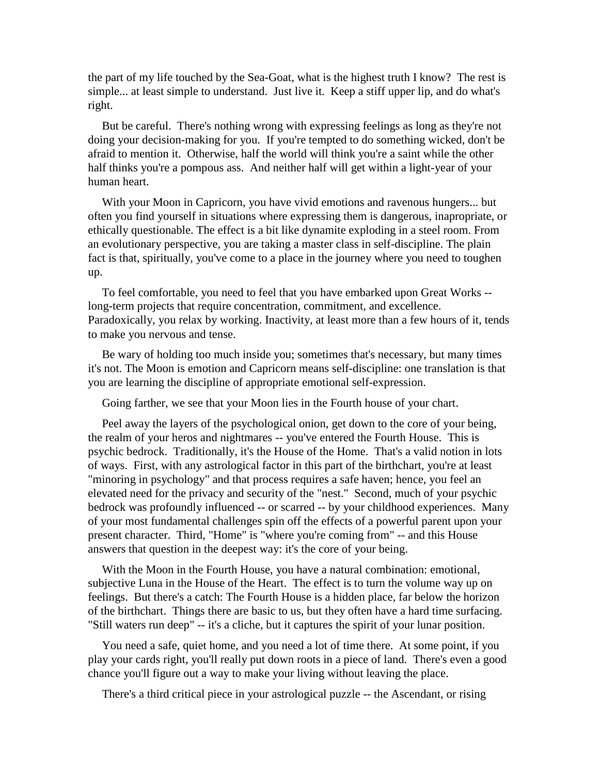the part of my life touched by the Sea-Goat, what is the highest truth I know? The rest is simple... at least simple to understand. Just live it. Keep a stiff upper lip, and do what's right.

But be careful. There's nothing wrong with expressing feelings as long as they're not doing your decision-making for you. If you're tempted to do something wicked, don't be afraid to mention it. Otherwise, half the world will think you're a saint while the other half thinks you're a pompous ass. And neither half will get within a light-year of your human heart.

With your Moon in Capricorn, you have vivid emotions and ravenous hungers... but often you find yourself in situations where expressing them is dangerous, inapropriate, or ethically questionable. The effect is a bit like dynamite exploding in a steel room. From an evolutionary perspective, you are taking a master class in self-discipline. The plain fact is that, spiritually, you've come to a place in the journey where you need to toughen up.<br>To feel comfortable, you need to feel that you have embarked upon Great Works --

long-term projects that require concentration, commitment, and excellence. Paradoxically, you relax by working. Inactivity, at least more than a few hours of it, tends to make you nervous and tense.

Be wary of holding too much inside you; sometimes that's necessary, but many times it's not. The Moon is emotion and Capricorn means self-discipline: one translation is that you are learning the discipline of appropriate emotional self-expression.

Going farther, we see that your Moon lies in the Fourth house of your chart.

Peel away the layers of the psychological onion, get down to the core of your being, the realm of your heros and nightmares -- you've entered the Fourth House. This is psychic bedrock. Traditionally, it's the House of the Home. That's a valid notion in lots of ways. First, with any astrological factor in this part of the birthchart, you're at least "minoring in psychology" and that process requires a safe haven; hence, you feel an elevated need for the privacy and security of the "nest." Second, much of your psychic bedrock was profoundly influenced -- or scarred -- by your childhood experiences. Many of your most fundamental challenges spin off the effects of a powerful parent upon your present character. Third, "Home" is "where you're coming from" -- and this House answers that question in the deepest way: it's the core of your being.

With the Moon in the Fourth House, you have a natural combination: emotional, subjective Luna in the House of the Heart. The effect is to turn the volume way up on feelings. But there's a catch: The Fourth House is a hidden place, far below the horizon of the birthchart. Things there are basic to us, but they often have a hard time surfacing. "Still waters run deep" -- it's a cliche, but it captures the spirit of your lunar position.

You need a safe, quiet home, and you need a lot of time there. At some point, if you play your cards right, you'll really put down roots in a piece of land. There's even a good chance you'll figure out a way to make your living without leaving the place.

There's a third critical piece in your astrological puzzle -- the Ascendant, or rising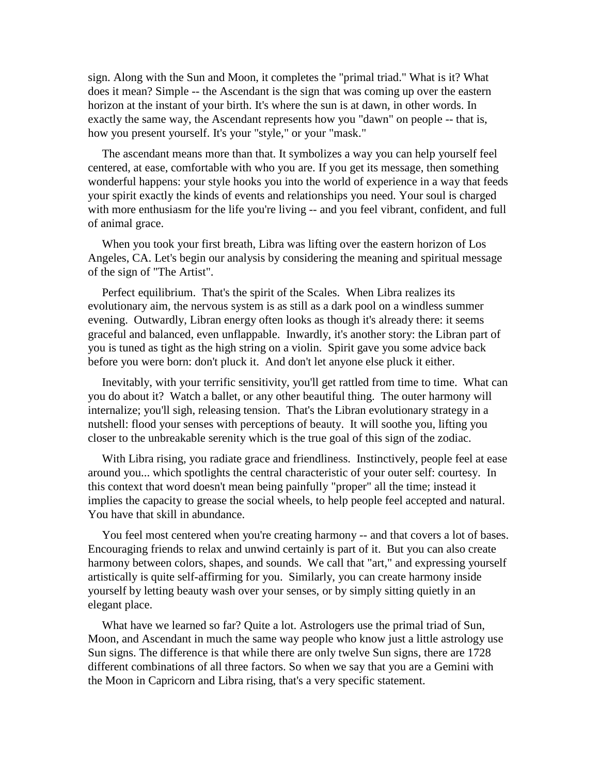sign. Along with the Sun and Moon, it completes the "primal triad." What is it? What does it mean? Simple -- the Ascendant is the sign that was coming up over the eastern horizon at the instant of your birth. It's where the sun is at dawn, in other words. In exactly the same way, the Ascendant represents how you "dawn" on people -- that is, how you present yourself. It's your "style," or your "mask."

The ascendant means more than that. It symbolizes a way you can help yourself feel centered, at ease, comfortable with who you are. If you get its message, then something wonderful happens: your style hooks you into the world of experience in a way that feeds your spirit exactly the kinds of events and relationships you need. Your soul is charged with more enthusiasm for the life you're living -- and you feel vibrant, confident, and full of animal grace.

When you took your first breath, Libra was lifting over the eastern horizon of Los Angeles, CA. Let's begin our analysis by considering the meaning and spiritual message of the sign of "The Artist".

Perfect equilibrium. That's the spirit of the Scales. When Libra realizes its evolutionary aim, the nervous system is as still as a dark pool on a windless summer evening. Outwardly, Libran energy often looks as though it's already there: it seems graceful and balanced, even unflappable. Inwardly, it's another story: the Libran part of you is tuned as tight as the high string on a violin. Spirit gave you some advice back before you were born: don't pluck it. And don't let anyone else pluck it either.

Inevitably, with your terrific sensitivity, you'll get rattled from time to time. What can you do about it? Watch a ballet, or any other beautiful thing. The outer harmony will internalize; you'll sigh, releasing tension. That's the Libran evolutionary strategy in a nutshell: flood your senses with perceptions of beauty. It will soothe you, lifting you closer to the unbreakable serenity which is the true goal of this sign of the zodiac.

With Libra rising, you radiate grace and friendliness. Instinctively, people feel at ease around you... which spotlights the central characteristic of your outer self: courtesy. In this context that word doesn't mean being painfully "proper" all the time; instead it implies the capacity to grease the social wheels, to help people feel accepted and natural. You have that skill in abundance.

You feel most centered when you're creating harmony -- and that covers a lot of bases. Encouraging friends to relax and unwind certainly is part of it. But you can also create harmony between colors, shapes, and sounds. We call that "art," and expressing yourself artistically is quite self-affirming for you. Similarly, you can create harmony inside yourself by letting beauty wash over your senses, or by simply sitting quietly in an elegant place.

What have we learned so far? Quite a lot. Astrologers use the primal triad of Sun, Moon, and Ascendant in much the same way people who know just a little astrology use Sun signs. The difference is that while there are only twelve Sun signs, there are 1728 different combinations of all three factors. So when we say that you are a Gemini with the Moon in Capricorn and Libra rising, that's a very specific statement.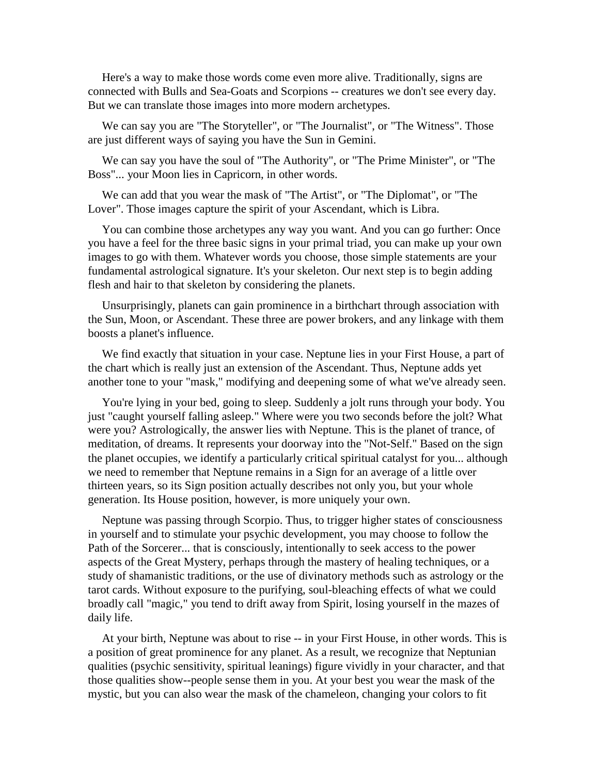Here's a way to make those words come even more alive. Traditionally, signs are connected with Bulls and Sea-Goats and Scorpions -- creatures we don't see every day. But we can translate those images into more modern archetypes.

We can say you are "The Storyteller", or "The Journalist", or "The Witness". Those are just different ways of saying you have the Sun in Gemini.

We can say you have the soul of "The Authority", or "The Prime Minister", or "The Boss"... your Moon lies in Capricorn, in other words.

We can add that you wear the mask of "The Artist", or "The Diplomat", or "The Lover". Those images capture the spirit of your Ascendant, which is Libra.

You can combine those archetypes any way you want. And you can go further: Once you have a feel for the three basic signs in your primal triad, you can make up your own images to go with them. Whatever words you choose, those simple statements are your fundamental astrological signature. It's your skeleton. Our next step is to begin adding flesh and hair to that skeleton by considering the planets.

Unsurprisingly, planets can gain prominence in a birthchart through association with the Sun, Moon, or Ascendant. These three are power brokers, and any linkage with them boosts a planet's influence.

We find exactly that situation in your case. Neptune lies in your First House, a part of the chart which is really just an extension of the Ascendant. Thus, Neptune adds yet another tone to your "mask," modifying and deepening some of what we've already seen.

You're lying in your bed, going to sleep. Suddenly a jolt runs through your body. You just "caught yourself falling asleep." Where were you two seconds before the jolt? What were you? Astrologically, the answer lies with Neptune. This is the planet of trance, of meditation, of dreams. It represents your doorway into the "Not-Self." Based on the sign the planet occupies, we identify a particularly critical spiritual catalyst for you... although we need to remember that Neptune remains in a Sign for an average of a little over thirteen years, so its Sign position actually describes not only you, but your whole generation. Its House position, however, is more uniquely your own.

Neptune was passing through Scorpio. Thus, to trigger higher states of consciousness in yourself and to stimulate your psychic development, you may choose to follow the Path of the Sorcerer... that is consciously, intentionally to seek access to the power aspects of the Great Mystery, perhaps through the mastery of healing techniques, or a study of shamanistic traditions, or the use of divinatory methods such as astrology or the tarot cards. Without exposure to the purifying, soul-bleaching effects of what we could broadly call"magic," you tend to drift away from Spirit, losing yourself in the mazes of daily life.<br>At your birth, Neptune was about to rise -- in your First House, in other words. This is

a position of great prominence for any planet. As a result, we recognize that Neptunian qualities (psychic sensitivity, spiritual leanings) figure vividly in your character, and that those qualities show--people sense them in you. At your best you wear the mask of the mystic, but you can also wear the mask of the chameleon, changing your colors to fit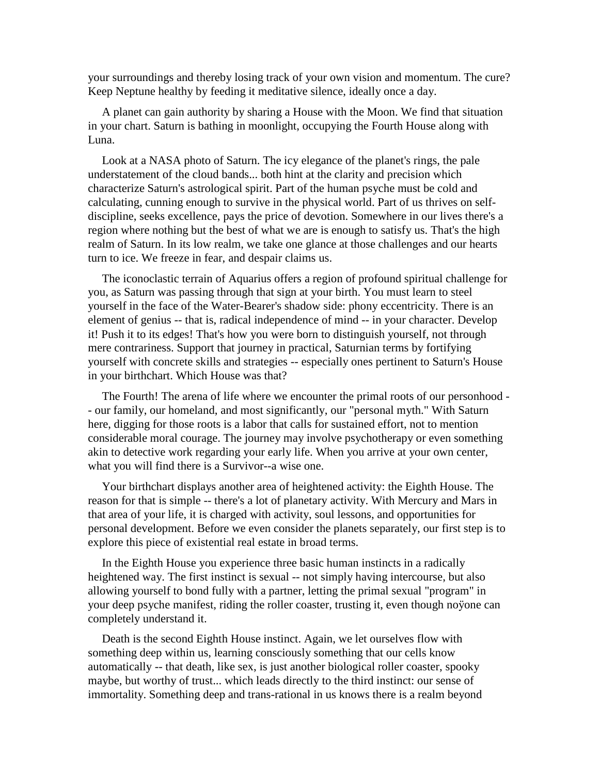your surroundings and thereby losing track of your own vision and momentum. The cure? Keep Neptune healthy by feeding it meditative silence, ideally once a day.

A planet can gain authority by sharing a House with the Moon. We find that situation in your chart. Saturn is bathing in moonlight, occupying the Fourth House along with Luna.

Look at a NASA photo of Saturn. The icy elegance of the planet's rings, the pale understatement of the cloud bands... both hint at the clarity and precision which characterize Saturn's astrological spirit. Part of the human psyche must be cold and calculating, cunning enough to survive in the physical world. Part of us thrives on self discipline, seeks excellence, pays the price of devotion. Somewhere in our lives there's a region where nothing but the best of what we are is enough to satisfy us. That's the high realm of Saturn. In its low realm, we take one glance at those challenges and our hearts turn to ice. We freeze in fear, and despair claims us.

The iconoclastic terrain of Aquarius offers a region of profound spiritual challenge for you, as Saturn was passing through that sign at your birth. You must learn to steel yourself in the face of the Water-Bearer's shadow side: phony eccentricity. There is an element of genius -- that is, radical independence of mind -- in your character. Develop it! Push it to its edges! That's how you were born to distinguish yourself, not through mere contrariness. Support that journey in practical, Saturnian terms by fortifying yourself with concrete skills and strategies -- especially ones pertinent to Saturn's House in your birthchart. Which House was that?

The Fourth! The arena of life where we encounter the primal roots of our personhood - - our family, our homeland, and most significantly, our "personal myth." With Saturn here, digging for those roots is a labor that calls for sustained effort, not to mention considerable moral courage. The journey may involve psychotherapy or even something akin to detective work regarding your early life.When you arrive at your own center, what you will find there is a Survivor--a wise one.

Your birthchart displays another area of heightened activity: the Eighth House. The reason for that is simple -- there's a lot of planetary activity. With Mercury and Mars in that area of your life, it is charged with activity, soul lessons, and opportunities for personal development. Before we even consider the planets separately, our first step is to explore this piece of existential real estate in broad terms.

In the Eighth House you experience three basic human instincts in a radically heightened way. The first instinct is sexual -- not simply having intercourse, but also allowing yourself to bond fully with a partner, letting the primal sexual "program" in your deep psyche manifest, riding the roller coaster, trusting it, even though noÿone can completely understand it.

Death is the second Eighth House instinct. Again, we let ourselves flow with something deep within us, learning consciously something that our cells know automatically -- that death, like sex, is just another biological roller coaster, spooky maybe, but worthy of trust... which leads directly to the third instinct: our sense of immortality. Something deep and trans-rational in us knows there is a realm beyond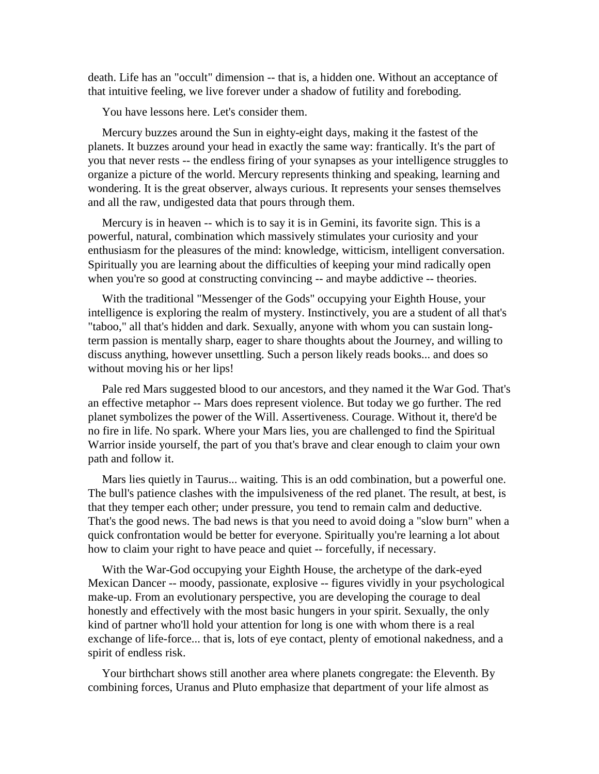death. Life has an "occult" dimension -- that is, a hidden one. Without an acceptance of that intuitive feeling, we live forever under a shadow of futility and foreboding.

You have lessons here. Let's consider them.

Mercury buzzes around the Sun in eighty-eight days, making it the fastest of the planets. It buzzes around your head in exactly the same way: frantically. It's the part of you that never rests -- the endless firing of your synapses as your intelligence struggles to organize a picture of the world. Mercury represents thinking and speaking, learning and wondering. It is the great observer, always curious. It represents your senses themselves and all the raw, undigested data that pours through them.

Mercury is in heaven -- which is to say it is in Gemini, its favorite sign. This is a powerful, natural, combination which massively stimulates your curiosity and your enthusiasm for the pleasures of the mind: knowledge, witticism, intelligent conversation. Spiritually you are learning about the difficulties of keeping your mind radically open when you're so good at constructing convincing -- and maybe addictive -- theories.

With the traditional "Messenger of the Gods" occupying your Eighth House, your intelligence is exploring the realm of mystery. Instinctively, you are a student of all that's "taboo," all that's hidden and dark. Sexually, anyone with whom you can sustain longterm passion is mentally sharp, eager to share thoughts about the Journey, and willing to discuss anything, however unsettling. Such a person likely reads books... and does so without moving his or her lips!

Pale red Mars suggested blood to our ancestors, and they named it the War God. That's an effective metaphor -- Mars does represent violence. But today we go further. The red planet symbolizes the power of the Will. Assertiveness. Courage. Without it, there'd be no fire in life.No spark. Where your Mars lies, you are challenged to find the Spiritual Warrior inside yourself, the part of you that's brave and clear enough to claim your own path and follow it.

Mars lies quietly in Taurus... waiting. This is an odd combination, but a powerful one. The bull's patience clashes with the impulsiveness of the red planet. The result, at best, is that they temper each other; under pressure, you tend to remain calm and deductive. That's the good news. The bad news is that you need to avoid doing a "slow burn" when a quick confrontation would be better for everyone. Spiritually you're learning a lot about how to claim your right to have peace and quiet -- forcefully, if necessary.

With the War-God occupying your Eighth House, the archetype of the dark-eyed Mexican Dancer -- moody, passionate, explosive -- figures vividly in your psychological make-up. From an evolutionary perspective, you are developing the courage to deal honestly and effectively with the most basic hungers in your spirit. Sexually, the only kind of partner who'll hold your attention for long is one with whom there is a real exchange of life-force... that is, lots of eye contact, plenty of emotional nakedness, and a spirit of endless risk.

Your birthchart shows still another area where planets congregate: the Eleventh. By combining forces, Uranus and Pluto emphasize that department of your life almost as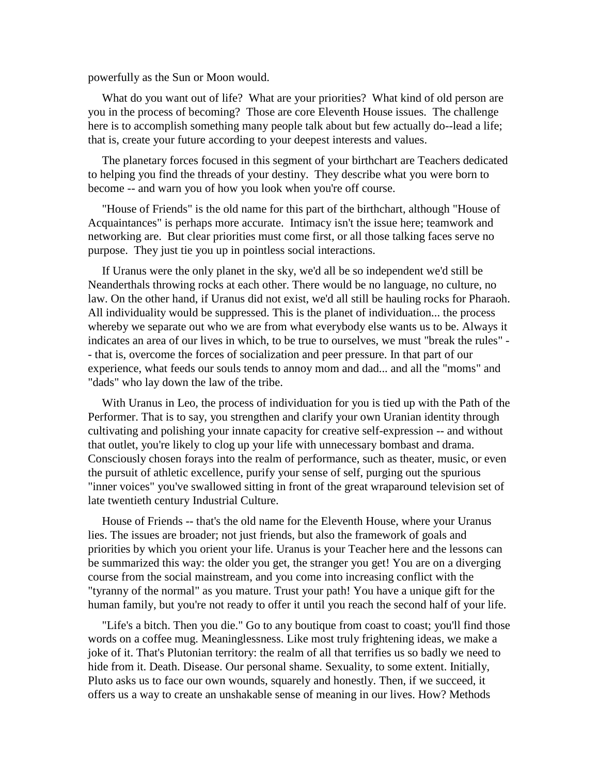powerfully as the Sun or Moon would.

What do you want out of life? What are your priorities? What kind of old person are you in the process of becoming? Those are core Eleventh House issues. The challenge here is to accomplish something many people talk about but few actually do--lead a life; that is, create your future according to your deepest interests and values.

The planetary forces focused in this segment of your birthchart are Teachers dedicated to helping you find the threads of your destiny. They describe what you were born to become -- and warn you of how you look when you're off course.

"House of Friends" is the old name for this part of the birthchart, although "House of Acquaintances" is perhaps more accurate. Intimacy isn't the issue here; teamwork and networking are. But clear priorities must come first, or all those talking faces serve no purpose. They just tie you up in pointless social interactions.

If Uranus were the only planet in the sky, we'd all be so independent we'd still be Neanderthals throwing rocks at each other. There would be no language, no culture, no law. On the other hand, if Uranus did not exist, we'd all still be hauling rocks for Pharaoh. All individuality would be suppressed. This is the planet of individuation... the process whereby we separate out who we are from what everybody else wants us to be. Always it indicates an area of our lives in which, to be true to ourselves, we must "break the rules" - - that is, overcome the forces of socialization and peer pressure. In that part of our experience, what feeds our souls tends to annoy mom and dad... and all the "moms" and "dads" who lay down the law of the tribe.

With Uranus in Leo, the process of individuation for you is tied up with the Path of the Performer. That is to say, you strengthen and clarify your own Uranian identity through cultivating and polishing your innate capacity for creative self-expression -- and without that outlet, you're likely to clog up your life with unnecessary bombast and drama. Consciously chosen forays into the realm of performance, such as theater, music, or even the pursuit of athletic excellence, purify your sense of self, purging out the spurious "inner voices" you've swallowed sitting in front of the great wraparound television set of late twentieth century Industrial Culture.

House of Friends -- that's the old name for the Eleventh House, where your Uranus lies. The issues are broader; not just friends, but also the framework of goals and priorities by which you orient your life. Uranus is your Teacher here and the lessons can be summarized this way: the older you get, the stranger you get! You are on a diverging course from the social mainstream, and you come into increasing conflict with the "tyranny of the normal" as you mature. Trust your path! You have a unique gift for the human family, but you're not ready to offer it until you reach the second half of your life.

"Life's a bitch. Then you die." Go to any boutique from coast to coast; you'll find those words on a coffee mug. Meaninglessness. Like most truly frightening ideas, we make a joke of it. That's Plutonian territory: the realm of all that terrifies us so badly we need to hide from it. Death. Disease. Our personal shame. Sexuality, to some extent. Initially, Pluto asks us to face our own wounds, squarely and honestly. Then, if we succeed, it offers us a way to create an unshakable sense of meaning in our lives. How? Methods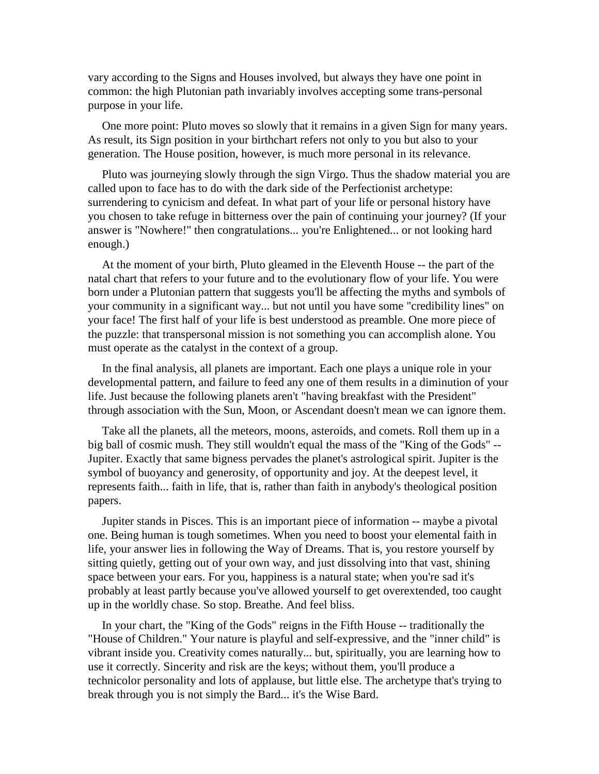vary according to the Signs and Houses involved, but always they have one point in common: the high Plutonian path invariably involves accepting some trans-personal purpose in your life.

One more point: Pluto moves so slowly that it remains in a given Sign for many years. As result, its Sign position in your birthchart refers not only to you but also to your generation. The House position, however, is much more personal in its relevance.

Pluto was journeying slowly through the sign Virgo. Thus the shadow material you are called upon to face has to do with the dark side of the Perfectionist archetype: surrendering to cynicism and defeat. In what part of your life or personal history have you chosen to take refuge in bitterness over the pain of continuing your journey? (If your answer is "Nowhere!" then congratulations... you're Enlightened... or not looking hard enough.)

At the moment of your birth, Pluto gleamed in the Eleventh House -- the part of the natal chart that refers to your future and to the evolutionary flow of your life. You were born under a Plutonian pattern that suggests you'll be affecting the myths and symbols of your community in a significant way... but not until you have some "credibility lines" on your face! The first half of your life is best understood as preamble. One more piece of the puzzle: that transpersonal mission is not something you can accomplish alone. You must operate as the catalyst in the context of a group.

In the final analysis, all planets are important. Each one plays a unique role in your developmental pattern, and failure to feed any one of them results in a diminution of your life. Just because the following planets aren't "having breakfast with the President" through association with the Sun, Moon, or Ascendant doesn't mean we can ignore them.

Take all the planets, all the meteors, moons, asteroids, and comets. Roll them up in a big ball of cosmic mush. They still wouldn't equal the mass of the "King of the Gods" -- Jupiter. Exactly that same bigness pervades the planet's astrological spirit. Jupiter is the symbol of buoyancy and generosity, of opportunity and joy. At the deepest level, it represents faith... faith in life, that is, rather than faith in anybody's theological position papers.

Jupiter stands in Pisces. This is an important piece of information -- maybe a pivotal one. Being human is tough sometimes. When you need to boost your elemental faith in life, your answer lies in following the Way of Dreams. That is, you restore yourself by sitting quietly, getting out of your own way, and just dissolving into that vast, shining space between your ears. For you, happiness is a natural state; when you're sad it's probably at least partly because you've allowed yourself to get overextended, too caught up in the worldly chase. So stop. Breathe. And feel bliss.

In your chart, the "King of the Gods" reigns in the Fifth House -- traditionally the "House of Children." Your nature is playful and self-expressive, and the "inner child" is vibrant inside you. Creativity comes naturally... but, spiritually, you are learning how to use it correctly. Sincerity and risk are the keys; without them, you'll produce a technicolor personality and lots of applause, but little else. The archetype that's trying to break through you is not simply the Bard... it's the Wise Bard.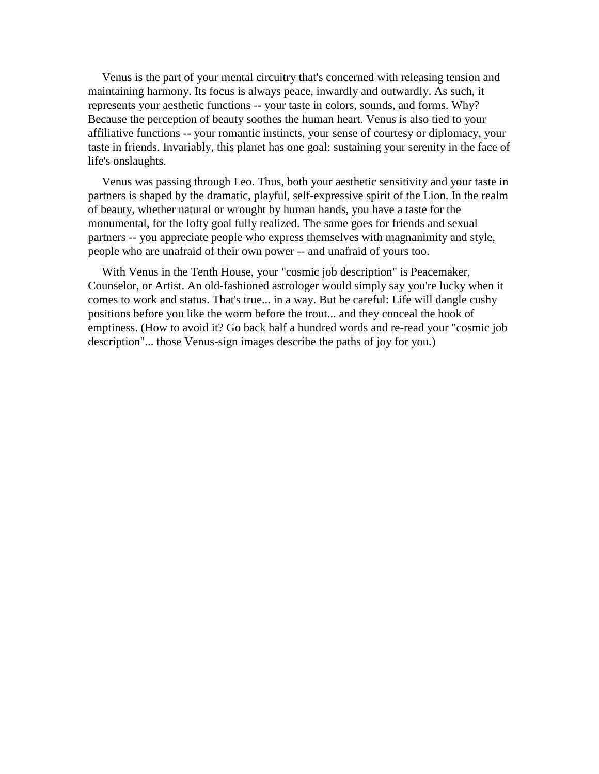Venus is the part of your mental circuitry that's concerned with releasing tension and maintaining harmony. Its focus is always peace, inwardly and outwardly. As such, it represents your aesthetic functions -- your taste in colors, sounds, and forms. Why? Because the perception of beauty soothes the human heart. Venus is also tied to your affiliative functions -- your romantic instincts, your sense of courtesy or diplomacy, your taste in friends. Invariably, this planet has one goal: sustaining your serenity in the face of life's onslaughts.

Venus was passing through Leo. Thus, both your aesthetic sensitivity and your taste in partners is shaped by the dramatic, playful, self-expressive spirit of the Lion. In the realm of beauty, whether natural or wrought by human hands, you have a taste for the monumental, for the lofty goal fully realized. The same goes for friends and sexual partners -- you appreciate people who express themselves with magnanimity and style, people who are unafraid of their own power -- and unafraid of yours too.

With Venus in the Tenth House, your "cosmic job description" is Peacemaker, Counselor, or Artist. An old-fashioned astrologer would simply say you're lucky when it comes to work and status. That's true... in a way. But be careful: Life will dangle cushy positions before you like the worm before the trout... and they conceal the hook of emptiness. (How to avoid it? Go back half a hundred words and re-read your "cosmic job description"... those Venus-sign images describe the paths of joy for you.)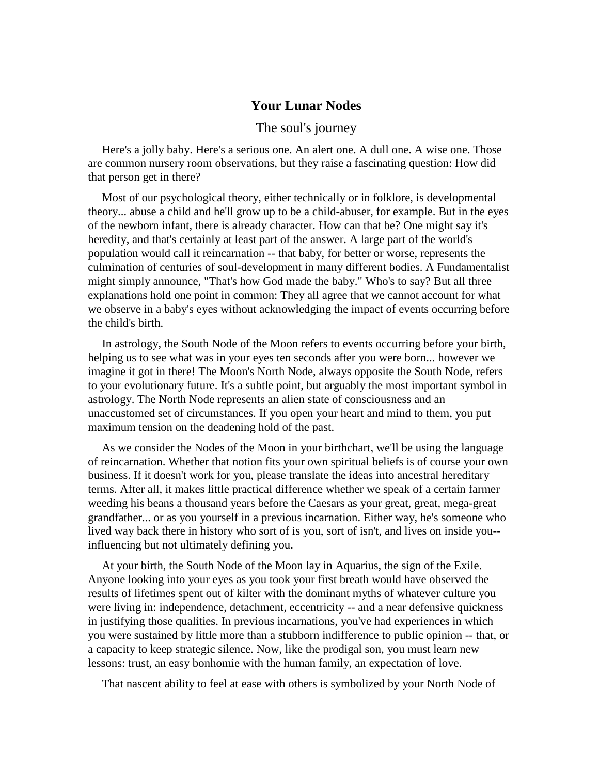#### **Your Lunar Nodes**

#### The soul's journey

Here's a jolly baby. Here's a serious one. An alert one. A dull one. A wise one. Those are common nursery room observations, but they raise a fascinating question: How did that person get in there?

Most of our psychological theory, either technically or in folklore, is developmental theory... abuse a child and he'll grow up to be a child-abuser, for example. But in the eyes of the newborn infant, there is already character. How canthat be? One might say it's heredity, and that's certainly at least part of the answer. A large part of the world's population would call it reincarnation -- that baby, for better or worse, represents the culmination of centuries of soul-development in many different bodies. A Fundamentalist might simply announce, "That's how God made the baby." Who's to say? But all three explanations hold one point in common: They all agree that we cannot account for what we observe in a baby's eyes without acknowledging the impact of events occurring before the child's birth.

In astrology, the South Node of the Moon refers to events occurring before your birth, helping us to see what was in your eyes ten seconds after you were born... however we imagine it got in there! The Moon's North Node, always opposite the South Node, refers to your evolutionary future. It's a subtle point, but arguably the most important symbol in astrology. The North Node represents an alien state of consciousness and an unaccustomed set of circumstances. If you open your heart and mind to them, you put maximum tension on the deadening hold of the past.

As we consider the Nodes of the Moon in your birthchart, we'll be using the language of reincarnation. Whether that notion fits your own spiritual beliefs is of course your own business. If it doesn't work for you, please translate the ideas into ancestral hereditary terms. After all, it makes little practical difference whether we speak of a certain farmer weeding his beans a thousand years before the Caesars as your great, great, mega-great grandfather... or as you yourself in a previous incarnation. Either way, he's someone who lived way back there in history who sort of is you, sort of isn't, and lives on inside you- influencing but not ultimately defining you.

At your birth, the South Node of the Moon lay in Aquarius, the sign of the Exile. Anyone looking into your eyes as you took your first breath would have observed the results of lifetimes spent out of kilter with the dominant myths of whatever culture you were living in: independence, detachment, eccentricity -- and a near defensive quickness in justifying those qualities. In previous incarnations, you've had experiences in which you were sustained by little more than a stubborn indifference to public opinion -- that, or a capacity to keep strategic silence. Now, like the prodigal son, you must learn new lessons: trust, an easy bonhomie with the human family, an expectation of love.

That nascent ability to feel at ease with others is symbolized by your North Node of